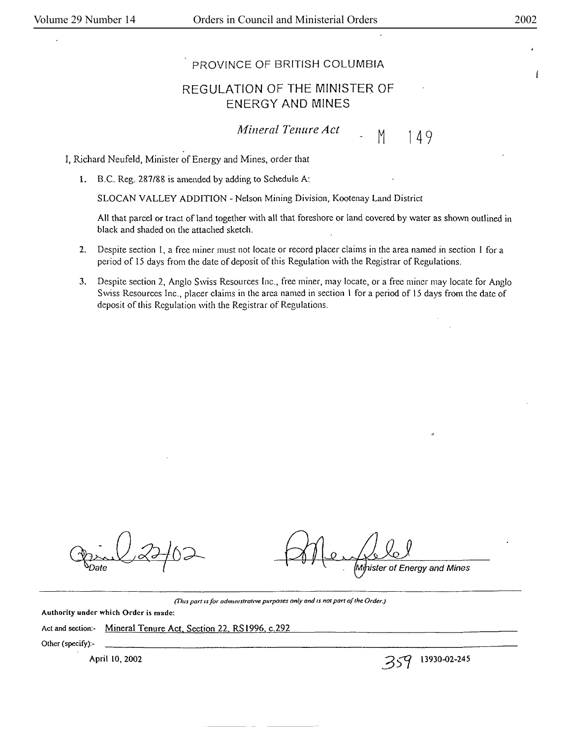ſ

## PROVINCE OF BRITISH COLUMBIA

## REGULATION OF THE MINISTER. OF ENERGY AND MINES

*Mineral Tenure Act* [16] M

149

I, Richard Neufeld, Minister of Energy and Mines, order that

**1.** B.C. Reg. 287/88 is amended by adding to Schedule A:

SLOCAN VALLEY ADDlTION - Nelson Mining Division, Kootenay Land District

All that parcel or tract of land together with all that foreshore or land covered by water as shown outlined in black and shaded on the attached sketch.

- 2. Despite section I, a free miner must not locate or record placer claims in the area named in section I for a period of 15 days from the date of deposit of this Regulation with the Registrar of Regulations.
- 3. Despite section 2, Anglo Swiss Resources Inc., free miner, may locate, or a free miner may locate for Anglo Swiss Resources Inc., placer claims in the area named in section I for a period of 15 days from the date of deposit of this Regulation with the Registrar of Regulations.

ister of Energy and Mines

*(This part is for administrative purposes only and is not part of the Order.)* 

Authority under which Order is made:

Act and section:- Mineral Tenure Act, Section 22, RS1996, c.292

Other (specify):-

April 10, 2002  $\sim$  3930-02-245